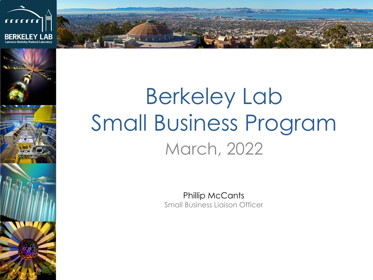



# Berkeley Lab Small Business Program March, 2022

Phillip McCants Small Business Liaison Officer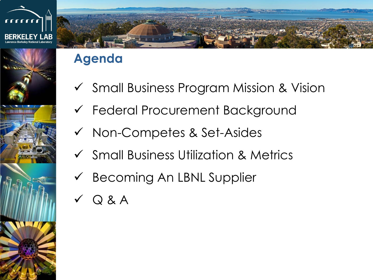



### **Agenda**

- ✓ Small Business Program Mission & Vision
- ✓ Federal Procurement Background
- ✓ Non-Competes & Set-Asides
- ✓ Small Business Utilization & Metrics
- ✓ Becoming An LBNL Supplier
- ✓ Q & A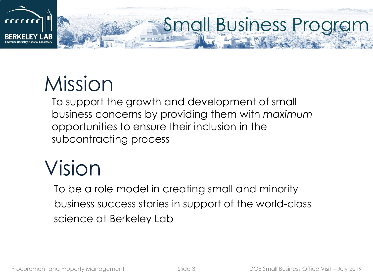

# Mission

To support the growth and development of small business concerns by providing them with *maximum* opportunities to ensure their inclusion in the subcontracting process

# Vision

To be a role model in creating small and minority business success stories in support of the world-class science at Berkeley Lab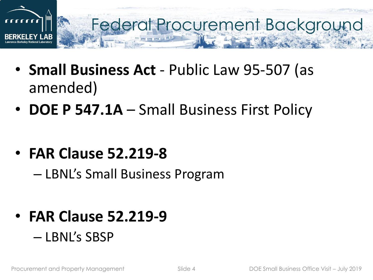

- **Small Business Act**  Public Law 95-507 (as amended)
- **DOE P 547.1A**  Small Business First Policy
- **FAR Clause 52.219-8**
	- LBNL's Small Business Program
- **FAR Clause 52.219-9** – LBNL's SBSP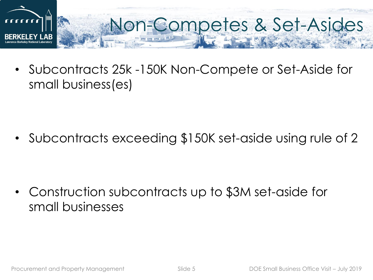

• Subcontracts 25k -150K Non-Compete or Set-Aside for small business(es)

• Subcontracts exceeding \$150K set-aside using rule of 2

• Construction subcontracts up to \$3M set-aside for small businesses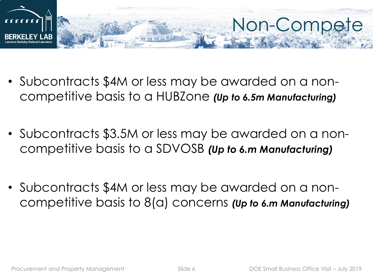

- Subcontracts \$4M or less may be awarded on a noncompetitive basis to a HUBZone *(Up to 6.5m Manufacturing)*
- Subcontracts \$3.5M or less may be awarded on a noncompetitive basis to a SDVOSB *(Up to 6.m Manufacturing)*
- Subcontracts \$4M or less may be awarded on a noncompetitive basis to 8(a) concerns *(Up to 6.m Manufacturing)*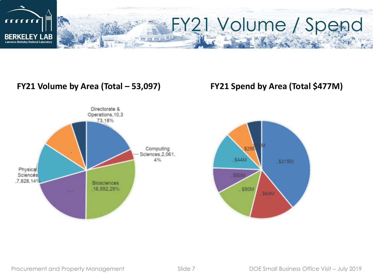

#### **FY21 Volume by Area (Total – 53,097) FY21 Spend by Area (Total \$477M)**





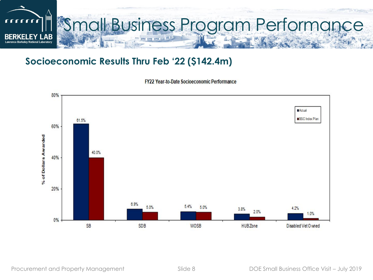

#### **Socioeconomic Results Thru Feb '22 (\$142.4m)**

FY22 Year-to-Date Socioeconomic Performance

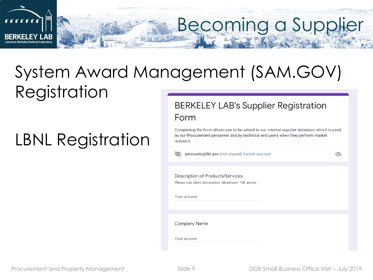

### System Award Management (SAM.GOV) Registration

## LBNL Registration

#### **BERKELEY LAB's Supplier Registration** Form

Completing the form allows you to be added to our internal supplier database, which is used by our Procurement personnel and by technical end users when they perform market research.

mecants@lbl.gov (not shared) Switch account

 ⊙

**Description of Products/Services** Please use short description. Maximum: 100 words.

Your answer

**Company Name** 

Your answer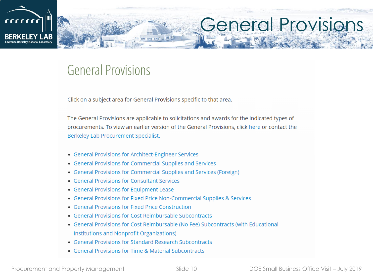

# General Provisions

### **General Provisions**

Click on a subject area for General Provisions specific to that area.

The General Provisions are applicable to solicitations and awards for the indicated types of procurements. To view an earlier version of the General Provisions, click here or contact the Berkeley Lab Procurement Specialist.

- General Provisions for Architect-Engineer Services
- General Provisions for Commercial Supplies and Services
- General Provisions for Commercial Supplies and Services (Foreign)
- General Provisions for Consultant Services
- General Provisions for Equipment Lease
- General Provisions for Fixed Price Non-Commercial Supplies & Services
- General Provisions for Fixed Price Construction
- General Provisions for Cost Reimbursable Subcontracts
- General Provisions for Cost Reimbursable (No Fee) Subcontracts (with Educational Institutions and Nonprofit Organizations)
- General Provisions for Standard Research Subcontracts
- General Provisions for Time & Material Subcontracts

Procurement and Property Management Slide 10 Suite 10 DOE Small Business Office Visit – July 2019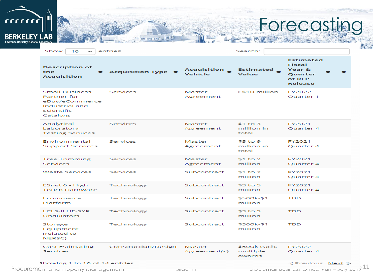

# Forecasting

| <b>Description of</b><br>the<br><b>Acquisition</b>                                                 | $\div$ Acquisition Type $\div$ | Acquisition $\triangle$<br>Vehicle | Estimated $\triangle$<br>Value     | <b>Estimated</b><br><b>Fiscal</b><br>Year &<br><b>Ouarter</b><br>of RFP<br><b>Release</b> |
|----------------------------------------------------------------------------------------------------|--------------------------------|------------------------------------|------------------------------------|-------------------------------------------------------------------------------------------|
| <b>Small Business</b><br>Partner for<br>eBuy/eCommerce<br>Industrial and<br>Scientific<br>Catalogs | Services                       | Master<br>Agreement                | >\$10 million                      | FY2022<br>Quarter 1                                                                       |
| Analytical<br>Laboratory<br><b>Testing Services</b>                                                | Services                       | Master<br>Agreement                | $$1$ to 3<br>million in<br>total   | FY2021<br>Quarter 4                                                                       |
| Environmental<br><b>Support Services</b>                                                           | Services                       | Master<br>Agreement                | $$5$ to 9<br>million in<br>total   | FY2021<br>Quarter 4                                                                       |
| <b>Tree Trimming</b><br>Services                                                                   | Services                       | Master<br>Agreement                | $$1$ to 2<br>million               | FY2021<br>Quarter 4                                                                       |
| <b>Waste Services</b>                                                                              | Services                       | Subcontract                        | $$1$ to 2<br>million               | FY2021<br>Quarter 4                                                                       |
| ESnet 6 - High<br><b>Touch Hardware</b>                                                            | Technology                     | Subcontract                        | $$3$ to 5<br>million               | FY2021<br>Quarter 4                                                                       |
| Ecommerce<br>Platform                                                                              | Technology                     | Subcontract                        | \$500k-\$1<br>million              | <b>TBD</b>                                                                                |
| <b>LCLS-II HE-SXR</b><br><b>Undulators</b>                                                         | Technology                     | Subcontract                        | $$3$ to 5<br>million               | <b>TBD</b>                                                                                |
| Storage<br>Equipment<br>(related to<br>NERSC)                                                      | Technology                     | Subcontract                        | \$500k-\$1<br>million              | <b>TBD</b>                                                                                |
| <b>Cost Estimating</b><br>Services                                                                 | Construction/Design            | Master<br>Agreement(s)             | \$500k each:<br>multiple<br>awards | FY2022<br>Quarter 4                                                                       |
| Showing 1 to 10 of 14 entries                                                                      |                                |                                    |                                    | くPrevious Next ><br><b>DUE STITUIT DUST RESS UTILE 8</b> YISH - JUTY ZUT $3^{11}$         |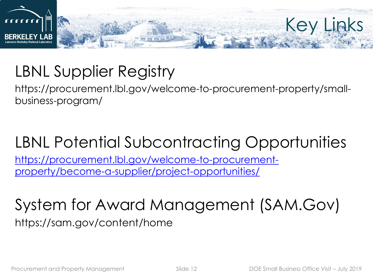

## LBNL Supplier Registry

https://procurement.lbl.gov/welcome-to-procurement-property/smallbusiness-program/

### LBNL Potential Subcontracting Opportunities

[https://procurement.lbl.gov/welcome-to-procurement](https://procurement.lbl.gov/welcome-to-procurement-property/become-a-supplier/project-opportunities/)property/become-a-supplier/project-opportunities/

### System for Award Management (SAM.Gov) https://sam.gov/content/home